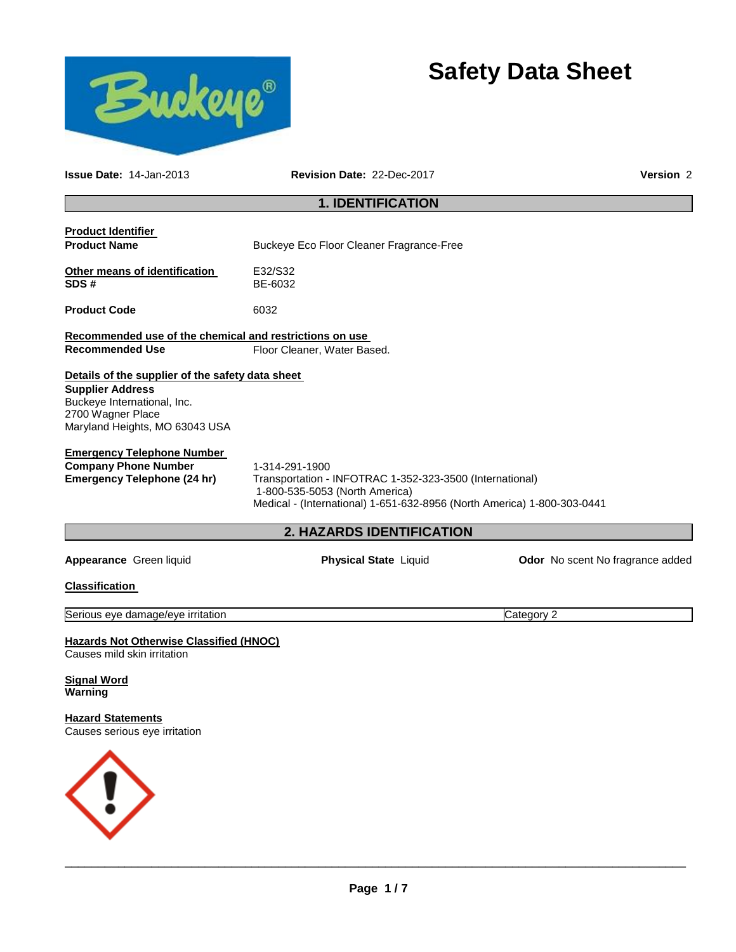

# **Safety Data Sheet**

| <b>Issue Date: 14-Jan-2013</b>                                                                                                                                    | Revision Date: 22-Dec-2017                                                                                                                                                              | Version 2                               |  |  |  |
|-------------------------------------------------------------------------------------------------------------------------------------------------------------------|-----------------------------------------------------------------------------------------------------------------------------------------------------------------------------------------|-----------------------------------------|--|--|--|
| <b>1. IDENTIFICATION</b>                                                                                                                                          |                                                                                                                                                                                         |                                         |  |  |  |
| <b>Product Identifier</b><br><b>Product Name</b>                                                                                                                  | Buckeye Eco Floor Cleaner Fragrance-Free                                                                                                                                                |                                         |  |  |  |
| Other means of identification<br>SDS#                                                                                                                             | E32/S32<br>BE-6032                                                                                                                                                                      |                                         |  |  |  |
| <b>Product Code</b>                                                                                                                                               | 6032                                                                                                                                                                                    |                                         |  |  |  |
| Recommended use of the chemical and restrictions on use<br><b>Recommended Use</b>                                                                                 | Floor Cleaner, Water Based.                                                                                                                                                             |                                         |  |  |  |
| Details of the supplier of the safety data sheet<br><b>Supplier Address</b><br>Buckeye International, Inc.<br>2700 Wagner Place<br>Maryland Heights, MO 63043 USA |                                                                                                                                                                                         |                                         |  |  |  |
| <b>Emergency Telephone Number</b><br><b>Company Phone Number</b><br><b>Emergency Telephone (24 hr)</b>                                                            | 1-314-291-1900<br>Transportation - INFOTRAC 1-352-323-3500 (International)<br>1-800-535-5053 (North America)<br>Medical - (International) 1-651-632-8956 (North America) 1-800-303-0441 |                                         |  |  |  |
|                                                                                                                                                                   | 2. HAZARDS IDENTIFICATION                                                                                                                                                               |                                         |  |  |  |
| Appearance Green liquid                                                                                                                                           | <b>Physical State Liquid</b>                                                                                                                                                            | <b>Odor</b> No scent No fragrance added |  |  |  |
| <b>Classification</b>                                                                                                                                             |                                                                                                                                                                                         |                                         |  |  |  |
| Serious eye damage/eye irritation                                                                                                                                 |                                                                                                                                                                                         | Category 2                              |  |  |  |
| <b>Hazards Not Otherwise Classified (HNOC)</b><br>Causes mild skin irritation                                                                                     |                                                                                                                                                                                         |                                         |  |  |  |
| Signal Word<br>Warning                                                                                                                                            |                                                                                                                                                                                         |                                         |  |  |  |
| <b>Hazard Statements</b><br>Causes serious eye irritation                                                                                                         |                                                                                                                                                                                         |                                         |  |  |  |
|                                                                                                                                                                   |                                                                                                                                                                                         |                                         |  |  |  |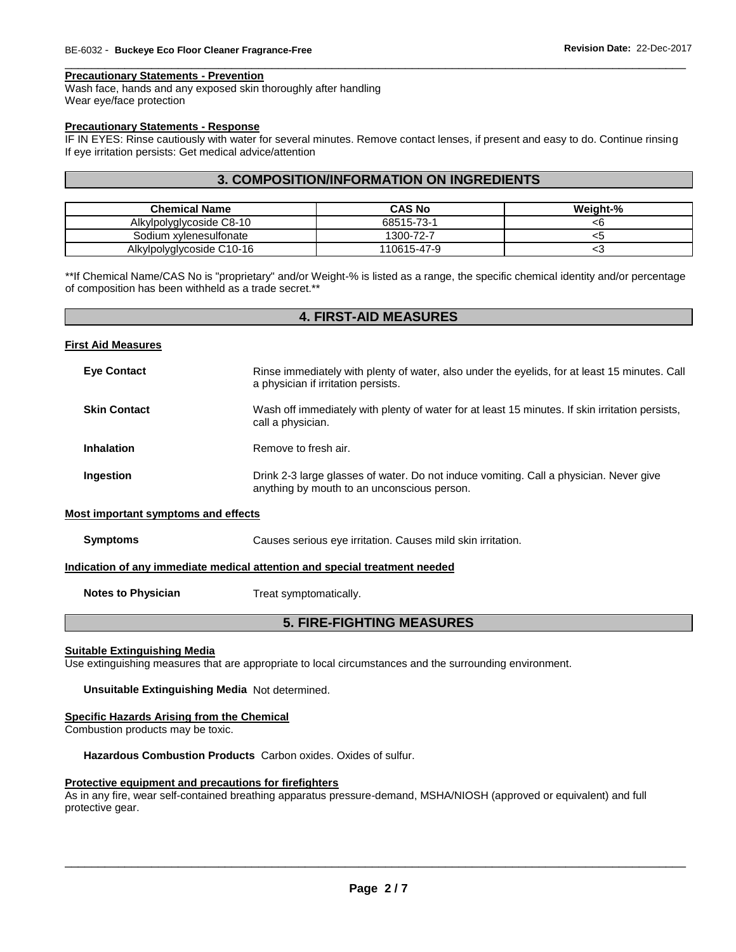#### **Precautionary Statements - Prevention**

Wash face, hands and any exposed skin thoroughly after handling Wear eye/face protection

#### **Precautionary Statements - Response**

IF IN EYES: Rinse cautiously with water for several minutes. Remove contact lenses, if present and easy to do. Continue rinsing If eye irritation persists: Get medical advice/attention

\_\_\_\_\_\_\_\_\_\_\_\_\_\_\_\_\_\_\_\_\_\_\_\_\_\_\_\_\_\_\_\_\_\_\_\_\_\_\_\_\_\_\_\_\_\_\_\_\_\_\_\_\_\_\_\_\_\_\_\_\_\_\_\_\_\_\_\_\_\_\_\_\_\_\_\_\_\_\_\_\_\_\_\_\_\_\_\_\_\_\_\_\_

#### **3. COMPOSITION/INFORMATION ON INGREDIENTS**

| <b>Chemical Name</b>      | <b>CAS No</b> | Weight-%        |
|---------------------------|---------------|-----------------|
| Alkylpolyglycoside C8-10  | 68515-73-1    | <b< td=""></b<> |
| Sodium xylenesulfonate    | 1300-72-7     | ະວ              |
| Alkylpolyglycoside C10-16 | 110615-47-9   | ∽∼              |

\*\*If Chemical Name/CAS No is "proprietary" and/or Weight-% is listed as a range, the specific chemical identity and/or percentage of composition has been withheld as a trade secret.\*\*

| <b>4. FIRST-AID MEASURES</b>               |                                                                                                                                       |  |  |  |
|--------------------------------------------|---------------------------------------------------------------------------------------------------------------------------------------|--|--|--|
| <b>First Aid Measures</b>                  |                                                                                                                                       |  |  |  |
| <b>Eye Contact</b>                         | Rinse immediately with plenty of water, also under the eyelids, for at least 15 minutes. Call<br>a physician if irritation persists.  |  |  |  |
| <b>Skin Contact</b>                        | Wash off immediately with plenty of water for at least 15 minutes. If skin irritation persists,<br>call a physician.                  |  |  |  |
| <b>Inhalation</b>                          | Remove to fresh air.                                                                                                                  |  |  |  |
| Ingestion                                  | Drink 2-3 large glasses of water. Do not induce vomiting. Call a physician. Never give<br>anything by mouth to an unconscious person. |  |  |  |
| <b>Most important symptoms and effects</b> |                                                                                                                                       |  |  |  |
| <b>Symptoms</b>                            | Causes serious eye irritation. Causes mild skin irritation.                                                                           |  |  |  |
|                                            | Indication of any immediate medical attention and special treatment needed                                                            |  |  |  |
| <b>Notes to Physician</b>                  | Treat symptomatically.                                                                                                                |  |  |  |
| <b>5. FIRE-FIGHTING MEASURES</b>           |                                                                                                                                       |  |  |  |
| <b>Suitable Extinguishing Media</b>        |                                                                                                                                       |  |  |  |
|                                            | Use extinguishing measures that are appropriate to local circumstances and the surrounding environment.                               |  |  |  |

**Unsuitable Extinguishing Media** Not determined.

## **Specific Hazards Arising from the Chemical**

Combustion products may be toxic.

**Hazardous Combustion Products** Carbon oxides. Oxides of sulfur.

#### **Protective equipment and precautions for firefighters**

As in any fire, wear self-contained breathing apparatus pressure-demand, MSHA/NIOSH (approved or equivalent) and full protective gear.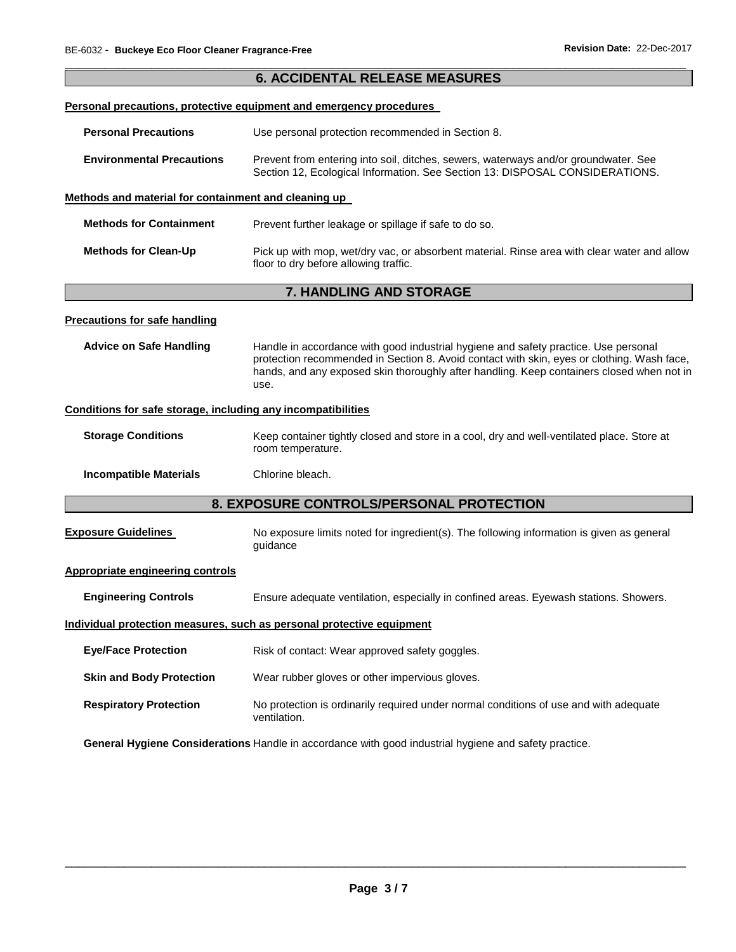|                                                              | <b>6. ACCIDENTAL RELEASE MEASURES</b>                                                                                                                                                                                                                                                  |  |  |  |
|--------------------------------------------------------------|----------------------------------------------------------------------------------------------------------------------------------------------------------------------------------------------------------------------------------------------------------------------------------------|--|--|--|
|                                                              | Personal precautions, protective equipment and emergency procedures                                                                                                                                                                                                                    |  |  |  |
| <b>Personal Precautions</b>                                  | Use personal protection recommended in Section 8.                                                                                                                                                                                                                                      |  |  |  |
|                                                              |                                                                                                                                                                                                                                                                                        |  |  |  |
| <b>Environmental Precautions</b>                             | Prevent from entering into soil, ditches, sewers, waterways and/or groundwater. See<br>Section 12, Ecological Information. See Section 13: DISPOSAL CONSIDERATIONS.                                                                                                                    |  |  |  |
| Methods and material for containment and cleaning up         |                                                                                                                                                                                                                                                                                        |  |  |  |
| <b>Methods for Containment</b>                               | Prevent further leakage or spillage if safe to do so.                                                                                                                                                                                                                                  |  |  |  |
| <b>Methods for Clean-Up</b>                                  | Pick up with mop, wet/dry vac, or absorbent material. Rinse area with clear water and allow<br>floor to dry before allowing traffic.                                                                                                                                                   |  |  |  |
|                                                              | 7. HANDLING AND STORAGE                                                                                                                                                                                                                                                                |  |  |  |
| <b>Precautions for safe handling</b>                         |                                                                                                                                                                                                                                                                                        |  |  |  |
| <b>Advice on Safe Handling</b>                               | Handle in accordance with good industrial hygiene and safety practice. Use personal<br>protection recommended in Section 8. Avoid contact with skin, eyes or clothing. Wash face,<br>hands, and any exposed skin thoroughly after handling. Keep containers closed when not in<br>use. |  |  |  |
| Conditions for safe storage, including any incompatibilities |                                                                                                                                                                                                                                                                                        |  |  |  |
| <b>Storage Conditions</b>                                    | Keep container tightly closed and store in a cool, dry and well-ventilated place. Store at<br>room temperature.                                                                                                                                                                        |  |  |  |
| <b>Incompatible Materials</b>                                | Chlorine bleach.                                                                                                                                                                                                                                                                       |  |  |  |
|                                                              | 8. EXPOSURE CONTROLS/PERSONAL PROTECTION                                                                                                                                                                                                                                               |  |  |  |
| <b>Exposure Guidelines</b>                                   | No exposure limits noted for ingredient(s). The following information is given as general<br>guidance                                                                                                                                                                                  |  |  |  |
| <b>Appropriate engineering controls</b>                      |                                                                                                                                                                                                                                                                                        |  |  |  |
| <b>Engineering Controls</b>                                  | Ensure adequate ventilation, especially in confined areas. Eyewash stations. Showers.                                                                                                                                                                                                  |  |  |  |
|                                                              | Individual protection measures, such as personal protective equipment                                                                                                                                                                                                                  |  |  |  |
| <b>Eye/Face Protection</b>                                   | Risk of contact: Wear approved safety goggles.                                                                                                                                                                                                                                         |  |  |  |
| <b>Skin and Body Protection</b>                              | Wear rubber gloves or other impervious gloves.                                                                                                                                                                                                                                         |  |  |  |
| <b>Respiratory Protection</b>                                | No protection is ordinarily required under normal conditions of use and with adequate<br>ventilation.                                                                                                                                                                                  |  |  |  |

**General Hygiene Considerations** Handle in accordance with good industrial hygiene and safety practice.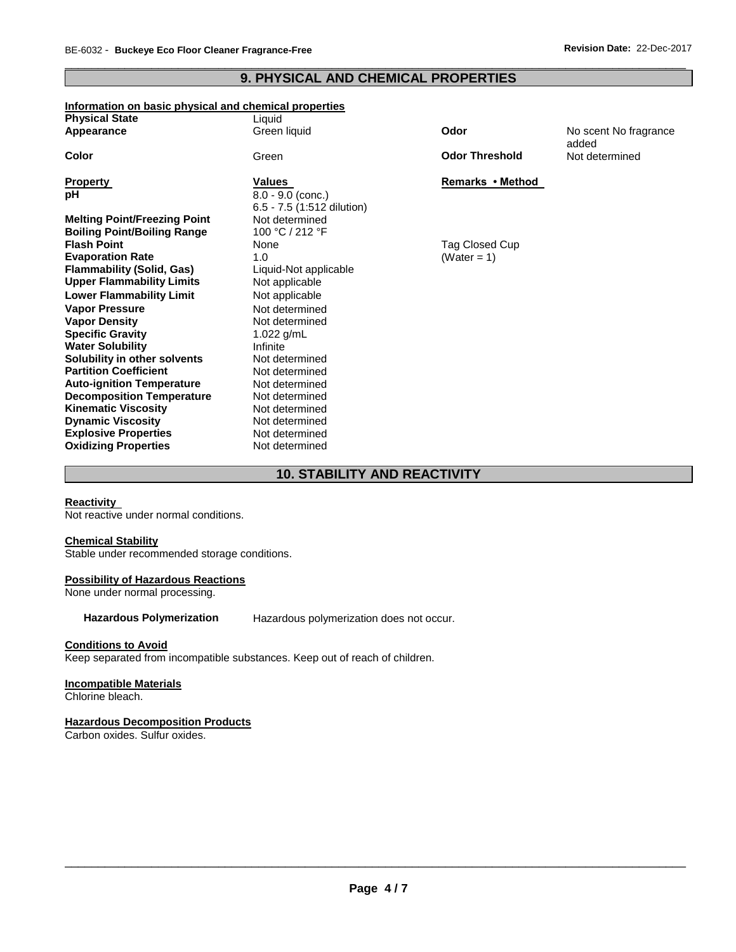#### \_\_\_\_\_\_\_\_\_\_\_\_\_\_\_\_\_\_\_\_\_\_\_\_\_\_\_\_\_\_\_\_\_\_\_\_\_\_\_\_\_\_\_\_\_\_\_\_\_\_\_\_\_\_\_\_\_\_\_\_\_\_\_\_\_\_\_\_\_\_\_\_\_\_\_\_\_\_\_\_\_\_\_\_\_\_\_\_\_\_\_\_\_ **9. PHYSICAL AND CHEMICAL PROPERTIES**

#### **Information on basic physical and chemical properties Physical Ctate**

| <b>Physical State</b>               | Liquid                     |                       |                                |
|-------------------------------------|----------------------------|-----------------------|--------------------------------|
| Appearance                          | Green liquid               | Odor                  | No scent No fragrance<br>added |
| Color                               | Green                      | <b>Odor Threshold</b> | Not determined                 |
| <b>Property</b>                     | Values                     | Remarks • Method      |                                |
| pH                                  | $8.0 - 9.0$ (conc.)        |                       |                                |
|                                     | 6.5 - 7.5 (1:512 dilution) |                       |                                |
| <b>Melting Point/Freezing Point</b> | Not determined             |                       |                                |
| <b>Boiling Point/Boiling Range</b>  | 100 °C / 212 °F            |                       |                                |
| <b>Flash Point</b>                  | None                       | Tag Closed Cup        |                                |
| <b>Evaporation Rate</b>             | 1.0                        | (Water = 1)           |                                |
| <b>Flammability (Solid, Gas)</b>    | Liquid-Not applicable      |                       |                                |
| <b>Upper Flammability Limits</b>    | Not applicable             |                       |                                |
| <b>Lower Flammability Limit</b>     | Not applicable             |                       |                                |
| <b>Vapor Pressure</b>               | Not determined             |                       |                                |
| <b>Vapor Density</b>                | Not determined             |                       |                                |
| <b>Specific Gravity</b>             | 1.022 $g/mL$               |                       |                                |
| <b>Water Solubility</b>             | Infinite                   |                       |                                |
| Solubility in other solvents        | Not determined             |                       |                                |
| <b>Partition Coefficient</b>        | Not determined             |                       |                                |
| <b>Auto-ignition Temperature</b>    | Not determined             |                       |                                |
| <b>Decomposition Temperature</b>    | Not determined             |                       |                                |
| <b>Kinematic Viscosity</b>          | Not determined             |                       |                                |
| <b>Dynamic Viscosity</b>            | Not determined             |                       |                                |
| <b>Explosive Properties</b>         | Not determined             |                       |                                |
| <b>Oxidizing Properties</b>         | Not determined             |                       |                                |
|                                     |                            |                       |                                |

### **10. STABILITY AND REACTIVITY**

#### **Reactivity**

Not reactive under normal conditions.

#### **Chemical Stability**

Stable under recommended storage conditions.

#### **Possibility of Hazardous Reactions**

None under normal processing.

**Hazardous Polymerization** Hazardous polymerization does not occur.

#### **Conditions to Avoid**

Keep separated from incompatible substances. Keep out of reach of children.

#### **Incompatible Materials**

Chlorine bleach.

#### **Hazardous Decomposition Products**

Carbon oxides. Sulfur oxides.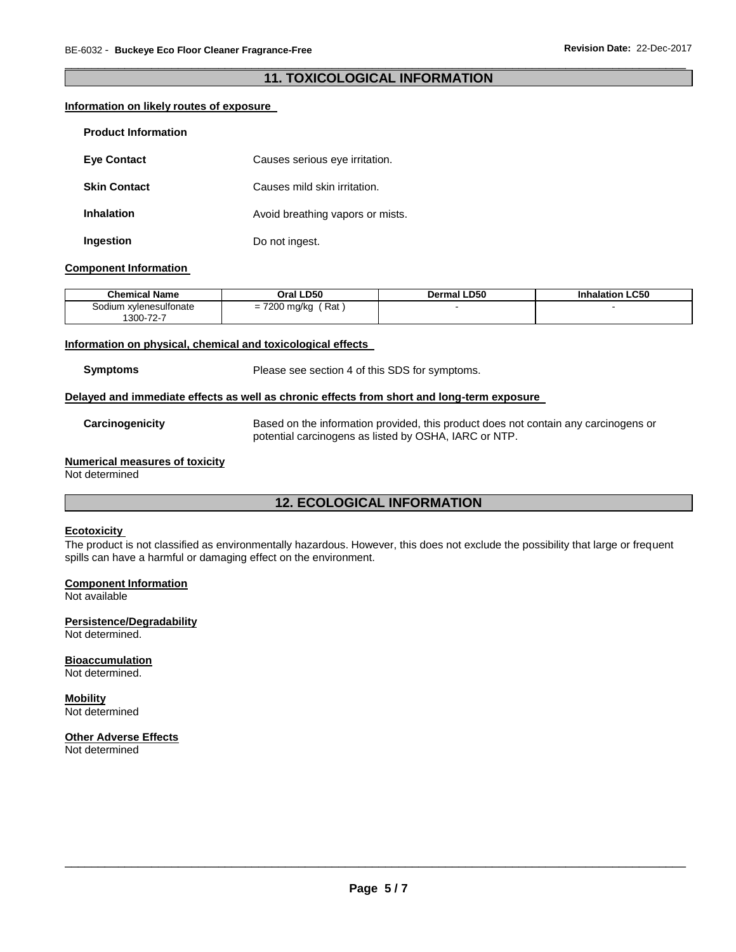#### \_\_\_\_\_\_\_\_\_\_\_\_\_\_\_\_\_\_\_\_\_\_\_\_\_\_\_\_\_\_\_\_\_\_\_\_\_\_\_\_\_\_\_\_\_\_\_\_\_\_\_\_\_\_\_\_\_\_\_\_\_\_\_\_\_\_\_\_\_\_\_\_\_\_\_\_\_\_\_\_\_\_\_\_\_\_\_\_\_\_\_\_\_ **11. TOXICOLOGICAL INFORMATION**

#### **Information on likely routes of exposure**

| <b>Product Information</b> |                                  |
|----------------------------|----------------------------------|
| <b>Eve Contact</b>         | Causes serious eye irritation.   |
| <b>Skin Contact</b>        | Causes mild skin irritation.     |
| <b>Inhalation</b>          | Avoid breathing vapors or mists. |
| Ingestion                  | Do not ingest.                   |

#### **Component Information**

| <b>Chemical Name</b>                                             | Oral LD50                                                                               | <b>LD50</b><br>Dermal | <b>LC50</b><br><b>Inhalation</b> |
|------------------------------------------------------------------|-----------------------------------------------------------------------------------------|-----------------------|----------------------------------|
| xvlenesulfonate<br>30dium<br>$\sim$ $\sim$<br>$1300 - i$<br>-ے ، | Rat<br>$\overline{\phantom{a}}$<br>mg/ka<br>$\overline{\phantom{0}}$<br>-<br>200<br>. . |                       |                                  |

#### **Information on physical, chemical and toxicological effects**

**Symptoms** Please see section 4 of this SDS for symptoms.

#### **Delayed and immediate effects as well as chronic effects from short and long-term exposure**

**Carcinogenicity** Based on the information provided, this product does not contain any carcinogens or potential carcinogens as listed by OSHA, IARC or NTP.

#### **Numerical measures of toxicity**

Not determined

### **12. ECOLOGICAL INFORMATION**

#### **Ecotoxicity**

The product is not classified as environmentally hazardous. However, this does not exclude the possibility that large or frequent spills can have a harmful or damaging effect on the environment.

#### **Component Information**

Not available

#### **Persistence/Degradability**

Not determined.

#### **Bioaccumulation**

Not determined.

## **Mobility**

Not determined

## **Other Adverse Effects**

Not determined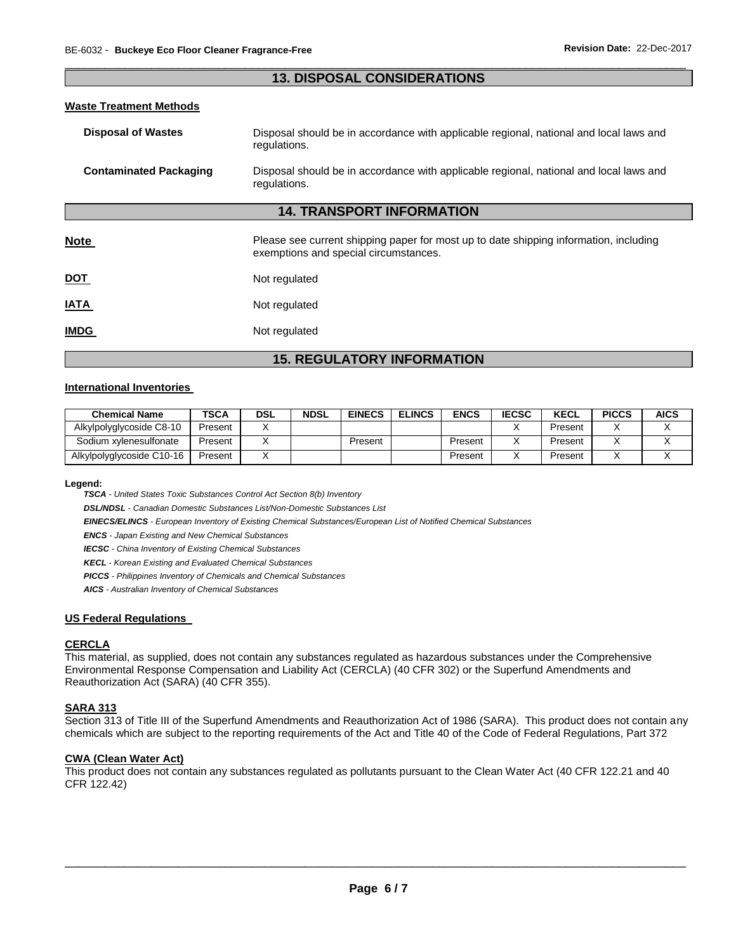#### \_\_\_\_\_\_\_\_\_\_\_\_\_\_\_\_\_\_\_\_\_\_\_\_\_\_\_\_\_\_\_\_\_\_\_\_\_\_\_\_\_\_\_\_\_\_\_\_\_\_\_\_\_\_\_\_\_\_\_\_\_\_\_\_\_\_\_\_\_\_\_\_\_\_\_\_\_\_\_\_\_\_\_\_\_\_\_\_\_\_\_\_\_ **13. DISPOSAL CONSIDERATIONS**

#### **Waste Treatment Methods**

| <b>Disposal of Wastes</b>        | Disposal should be in accordance with applicable regional, national and local laws and<br>regulations.                         |  |  |  |  |
|----------------------------------|--------------------------------------------------------------------------------------------------------------------------------|--|--|--|--|
| <b>Contaminated Packaging</b>    | Disposal should be in accordance with applicable regional, national and local laws and<br>regulations.                         |  |  |  |  |
| <b>14. TRANSPORT INFORMATION</b> |                                                                                                                                |  |  |  |  |
| <b>Note</b>                      | Please see current shipping paper for most up to date shipping information, including<br>exemptions and special circumstances. |  |  |  |  |
| DOT                              | Not regulated                                                                                                                  |  |  |  |  |
| <b>ATAI</b>                      | Not regulated                                                                                                                  |  |  |  |  |
| <b>IMDG</b>                      | Not regulated                                                                                                                  |  |  |  |  |

### **15. REGULATORY INFORMATION**

#### **International Inventories**

| <b>Chemical Name</b>      | TSCA    | DSL | <b>NDSL</b> | <b>EINECS</b> | <b>ELINCS</b> | <b>ENCS</b> | <b>IECSC</b> | <b>KECL</b> | <b>PICCS</b> | <b>AICS</b> |
|---------------------------|---------|-----|-------------|---------------|---------------|-------------|--------------|-------------|--------------|-------------|
| Alkylpolyglycoside C8-10  | Present |     |             |               |               |             |              | Present     |              |             |
| Sodium xvlenesulfonate    | Present |     |             | Present       |               | Present     |              | Present     |              |             |
| Alkylpolyglycoside C10-16 | Present |     |             |               |               | Present     |              | Present     |              |             |

**Legend:** 

*TSCA - United States Toxic Substances Control Act Section 8(b) Inventory* 

*DSL/NDSL - Canadian Domestic Substances List/Non-Domestic Substances List* 

*EINECS/ELINCS - European Inventory of Existing Chemical Substances/European List of Notified Chemical Substances* 

*ENCS - Japan Existing and New Chemical Substances* 

*IECSC - China Inventory of Existing Chemical Substances* 

*KECL - Korean Existing and Evaluated Chemical Substances* 

*PICCS - Philippines Inventory of Chemicals and Chemical Substances* 

*AICS - Australian Inventory of Chemical Substances* 

#### **US Federal Regulations**

#### **CERCLA**

This material, as supplied, does not contain any substances regulated as hazardous substances under the Comprehensive Environmental Response Compensation and Liability Act (CERCLA) (40 CFR 302) or the Superfund Amendments and Reauthorization Act (SARA) (40 CFR 355).

#### **SARA 313**

Section 313 of Title III of the Superfund Amendments and Reauthorization Act of 1986 (SARA). This product does not contain any chemicals which are subject to the reporting requirements of the Act and Title 40 of the Code of Federal Regulations, Part 372

#### **CWA (Clean Water Act)**

This product does not contain any substances regulated as pollutants pursuant to the Clean Water Act (40 CFR 122.21 and 40 CFR 122.42)